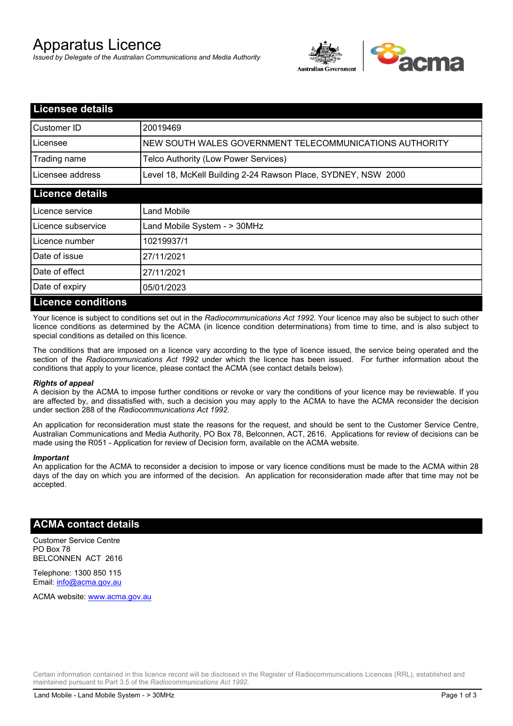# Apparatus Licence

*Issued by Delegate of the Australian Communications and Media Authority*



| <b>Licensee details</b>   |                                                               |
|---------------------------|---------------------------------------------------------------|
| Customer ID               | 20019469                                                      |
| Licensee                  | NEW SOUTH WALES GOVERNMENT TELECOMMUNICATIONS AUTHORITY       |
| Trading name              | Telco Authority (Low Power Services)                          |
| Licensee address          | Level 18, McKell Building 2-24 Rawson Place, SYDNEY, NSW 2000 |
| <b>Licence details</b>    |                                                               |
| l Licence service         | Land Mobile                                                   |
| Licence subservice        | Land Mobile System - > 30MHz                                  |
| Licence number            | 10219937/1                                                    |
| Date of issue             | 27/11/2021                                                    |
| Date of effect            | 27/11/2021                                                    |
| Date of expiry            | 05/01/2023                                                    |
| <b>Licence conditions</b> |                                                               |

Your licence is subject to conditions set out in the *Radiocommunications Act 1992*. Your licence may also be subject to such other licence conditions as determined by the ACMA (in licence condition determinations) from time to time, and is also subject to special conditions as detailed on this licence.

The conditions that are imposed on a licence vary according to the type of licence issued, the service being operated and the section of the *Radiocommunications Act 1992* under which the licence has been issued. For further information about the conditions that apply to your licence, please contact the ACMA (see contact details below).

#### *Rights of appeal*

A decision by the ACMA to impose further conditions or revoke or vary the conditions of your licence may be reviewable. If you are affected by, and dissatisfied with, such a decision you may apply to the ACMA to have the ACMA reconsider the decision under section 288 of the *Radiocommunications Act 1992*.

An application for reconsideration must state the reasons for the request, and should be sent to the Customer Service Centre, Australian Communications and Media Authority, PO Box 78, Belconnen, ACT, 2616. Applications for review of decisions can be made using the R051 - Application for review of Decision form, available on the ACMA website.

#### *Important*

An application for the ACMA to reconsider a decision to impose or vary licence conditions must be made to the ACMA within 28 days of the day on which you are informed of the decision. An application for reconsideration made after that time may not be accepted.

#### **ACMA contact details**

Customer Service Centre PO Box 78 BELCONNEN ACT 2616

Telephone: 1300 850 115 Email: info@acma.gov.au

ACMA website: www.acma.gov.au

Certain information contained in this licence record will be disclosed in the Register of Radiocommunications Licences (RRL), established and maintained pursuant to Part 3.5 of the *Radiocommunications Act 1992.*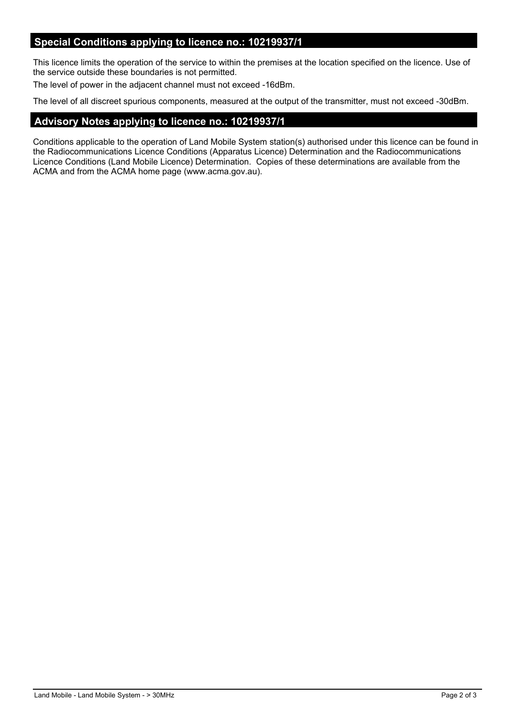## **Special Conditions applying to licence no.: 10219937/1**

This licence limits the operation of the service to within the premises at the location specified on the licence. Use of the service outside these boundaries is not permitted.

The level of power in the adjacent channel must not exceed -16dBm.

The level of all discreet spurious components, measured at the output of the transmitter, must not exceed -30dBm.

## **Advisory Notes applying to licence no.: 10219937/1**

Conditions applicable to the operation of Land Mobile System station(s) authorised under this licence can be found in the Radiocommunications Licence Conditions (Apparatus Licence) Determination and the Radiocommunications Licence Conditions (Land Mobile Licence) Determination. Copies of these determinations are available from the ACMA and from the ACMA home page (www.acma.gov.au).